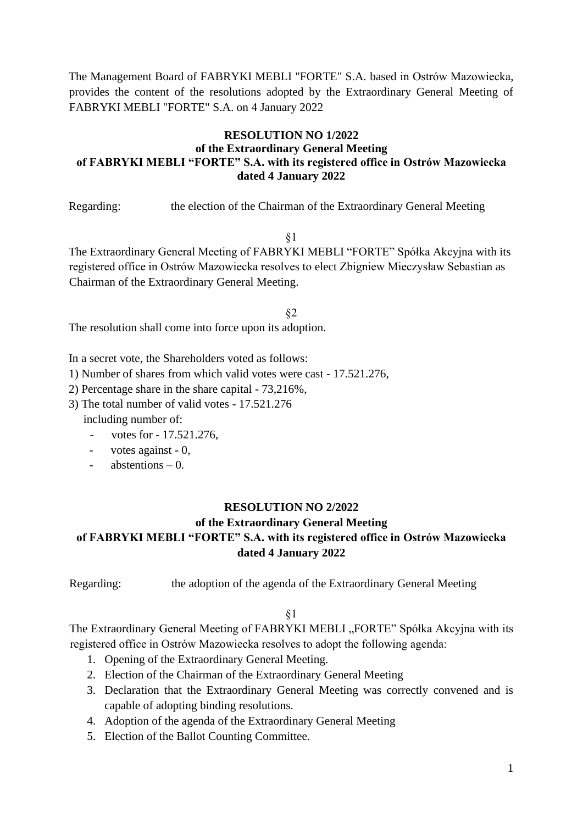The Management Board of FABRYKI MEBLI "FORTE" S.A. based in Ostrów Mazowiecka, provides the content of the resolutions adopted by the Extraordinary General Meeting of FABRYKI MEBLI "FORTE" S.A. on 4 January 2022

## **RESOLUTION NO 1/2022 of the Extraordinary General Meeting of FABRYKI MEBLI "FORTE" S.A. with its registered office in Ostrów Mazowiecka dated 4 January 2022**

Regarding: the election of the Chairman of the Extraordinary General Meeting

§1

The Extraordinary General Meeting of FABRYKI MEBLI "FORTE" Spółka Akcyjna with its registered office in Ostrów Mazowiecka resolves to elect Zbigniew Mieczysław Sebastian as Chairman of the Extraordinary General Meeting.

§2 The resolution shall come into force upon its adoption.

In a secret vote, the Shareholders voted as follows:

1) Number of shares from which valid votes were cast - 17.521.276,

2) Percentage share in the share capital - 73,216%,

3) The total number of valid votes - 17.521.276

including number of:

- votes for - 17.521.276,

- votes against - 0,

- abstentions – 0.

### **RESOLUTION NO 2/2022**

## **of the Extraordinary General Meeting of FABRYKI MEBLI "FORTE" S.A. with its registered office in Ostrów Mazowiecka dated 4 January 2022**

Regarding: the adoption of the agenda of the Extraordinary General Meeting

§1

The Extraordinary General Meeting of FABRYKI MEBLI "FORTE" Spółka Akcyjna with its registered office in Ostrów Mazowiecka resolves to adopt the following agenda:

- 1. Opening of the Extraordinary General Meeting.
- 2. Election of the Chairman of the Extraordinary General Meeting
- 3. Declaration that the Extraordinary General Meeting was correctly convened and is capable of adopting binding resolutions.
- 4. Adoption of the agenda of the Extraordinary General Meeting
- 5. Election of the Ballot Counting Committee.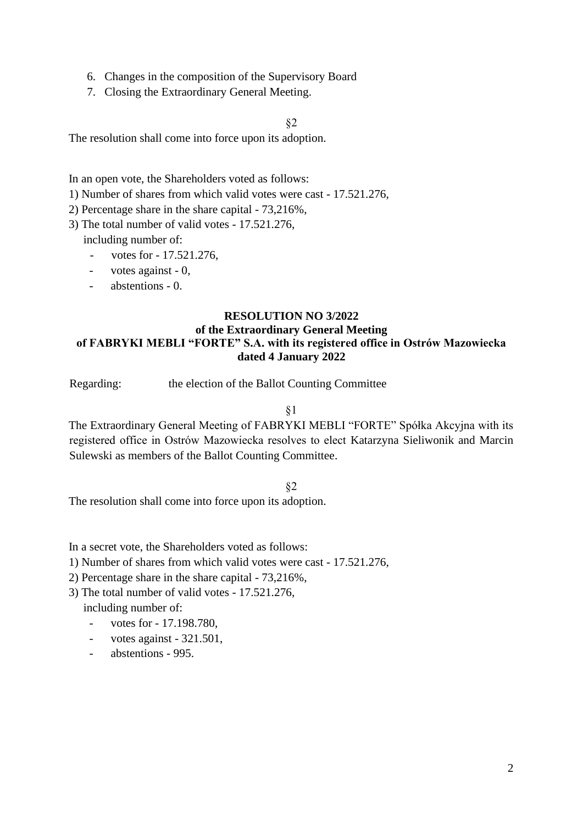- 6. Changes in the composition of the Supervisory Board
- 7. Closing the Extraordinary General Meeting.

§2

The resolution shall come into force upon its adoption.

In an open vote, the Shareholders voted as follows:

- 1) Number of shares from which valid votes were cast 17.521.276,
- 2) Percentage share in the share capital 73,216%,
- 3) The total number of valid votes 17.521.276, including number of:
	- votes for 17.521.276,
	- votes against 0,
	- abstentions 0.

### **RESOLUTION NO 3/2022 of the Extraordinary General Meeting of FABRYKI MEBLI "FORTE" S.A. with its registered office in Ostrów Mazowiecka dated 4 January 2022**

Regarding: the election of the Ballot Counting Committee

§1

The Extraordinary General Meeting of FABRYKI MEBLI "FORTE" Spółka Akcyjna with its registered office in Ostrów Mazowiecka resolves to elect Katarzyna Sieliwonik and Marcin Sulewski as members of the Ballot Counting Committee.

§2

The resolution shall come into force upon its adoption.

In a secret vote, the Shareholders voted as follows:

- 1) Number of shares from which valid votes were cast 17.521.276,
- 2) Percentage share in the share capital 73,216%,
- 3) The total number of valid votes 17.521.276,

including number of:

- votes for 17.198.780,
- votes against 321.501,
- abstentions 995.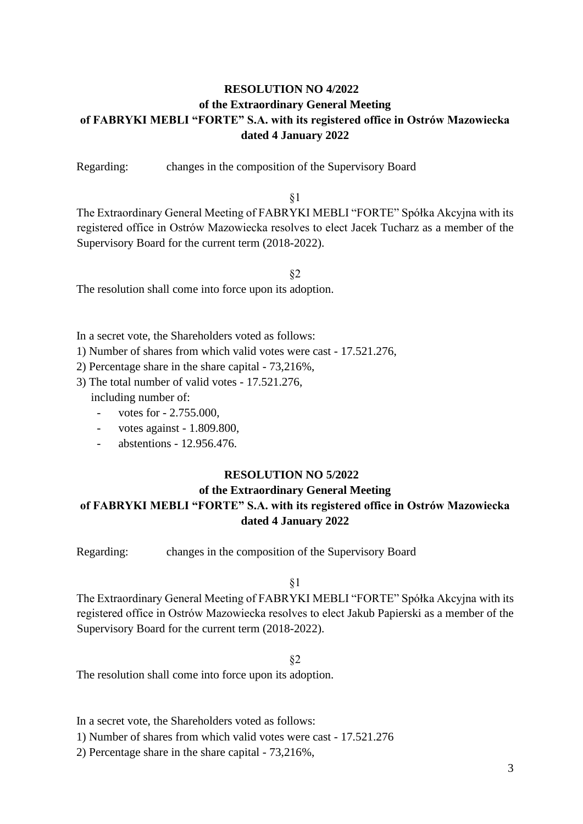# **RESOLUTION NO 4/2022 of the Extraordinary General Meeting of FABRYKI MEBLI "FORTE" S.A. with its registered office in Ostrów Mazowiecka dated 4 January 2022**

Regarding: changes in the composition of the Supervisory Board

§1

The Extraordinary General Meeting of FABRYKI MEBLI "FORTE" Spółka Akcyjna with its registered office in Ostrów Mazowiecka resolves to elect Jacek Tucharz as a member of the Supervisory Board for the current term (2018-2022).

§2

The resolution shall come into force upon its adoption.

In a secret vote, the Shareholders voted as follows:

- 1) Number of shares from which valid votes were cast 17.521.276,
- 2) Percentage share in the share capital 73,216%,
- 3) The total number of valid votes 17.521.276, including number of:
	- votes for 2.755.000,
	- votes against 1.809.800,
	- abstentions 12.956.476.

### **RESOLUTION NO 5/2022**

# **of the Extraordinary General Meeting of FABRYKI MEBLI "FORTE" S.A. with its registered office in Ostrów Mazowiecka dated 4 January 2022**

Regarding: changes in the composition of the Supervisory Board

§1

The Extraordinary General Meeting of FABRYKI MEBLI "FORTE" Spółka Akcyjna with its registered office in Ostrów Mazowiecka resolves to elect Jakub Papierski as a member of the Supervisory Board for the current term (2018-2022).

§2

The resolution shall come into force upon its adoption.

In a secret vote, the Shareholders voted as follows:

1) Number of shares from which valid votes were cast - 17.521.276

2) Percentage share in the share capital - 73,216%,